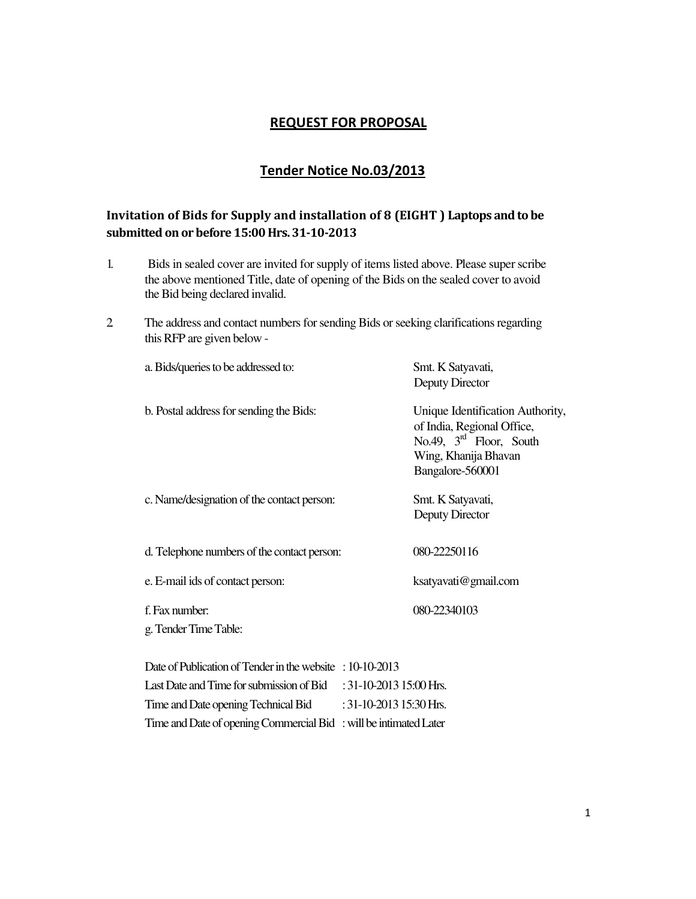## REQUEST FOR PROPOSAL

# Tender Notice No.03/2013

# Invitation of Bids for Supply and installation of 8 (EIGHT ) Laptops and to be submitted on or before 15:00 Hrs. 31-10-2013

- 1. Bids in sealed cover are invited for supply of items listed above. Please super scribe the above mentioned Title, date of opening of the Bids on the sealed cover to avoid the Bid being declared invalid.
- 2. The address and contact numbers for sending Bids or seeking clarifications regarding this RFP are given below -

| a. Bids/queries to be addressed to:                                 | Smt. K Satyavati,                                       |  |  |  |
|---------------------------------------------------------------------|---------------------------------------------------------|--|--|--|
|                                                                     | Deputy Director                                         |  |  |  |
| b. Postal address for sending the Bids:                             | Unique Identification Authority,                        |  |  |  |
|                                                                     | of India, Regional Office,<br>No.49, $3rd$ Floor, South |  |  |  |
|                                                                     | Wing, Khanija Bhavan                                    |  |  |  |
|                                                                     | Bangalore-560001                                        |  |  |  |
| c. Name/designation of the contact person:                          | Smt. K Satyavati,                                       |  |  |  |
|                                                                     | Deputy Director                                         |  |  |  |
|                                                                     |                                                         |  |  |  |
| d. Telephone numbers of the contact person:                         | 080-22250116                                            |  |  |  |
| e. E-mail ids of contact person:                                    | ksatyavati@gmail.com                                    |  |  |  |
| f. Fax number:                                                      | 080-22340103                                            |  |  |  |
| g. Tender Time Table:                                               |                                                         |  |  |  |
|                                                                     |                                                         |  |  |  |
| Date of Publication of Tender in the website : 10-10-2013           |                                                         |  |  |  |
| Last Date and Time for submission of Bid<br>: 31-10-2013 15:00 Hrs. |                                                         |  |  |  |
| Time and Date opening Technical Bid<br>: 31-10-2013 15:30 Hrs.      |                                                         |  |  |  |
| Time and Date of opening Commercial Bid : will be intimated Later   |                                                         |  |  |  |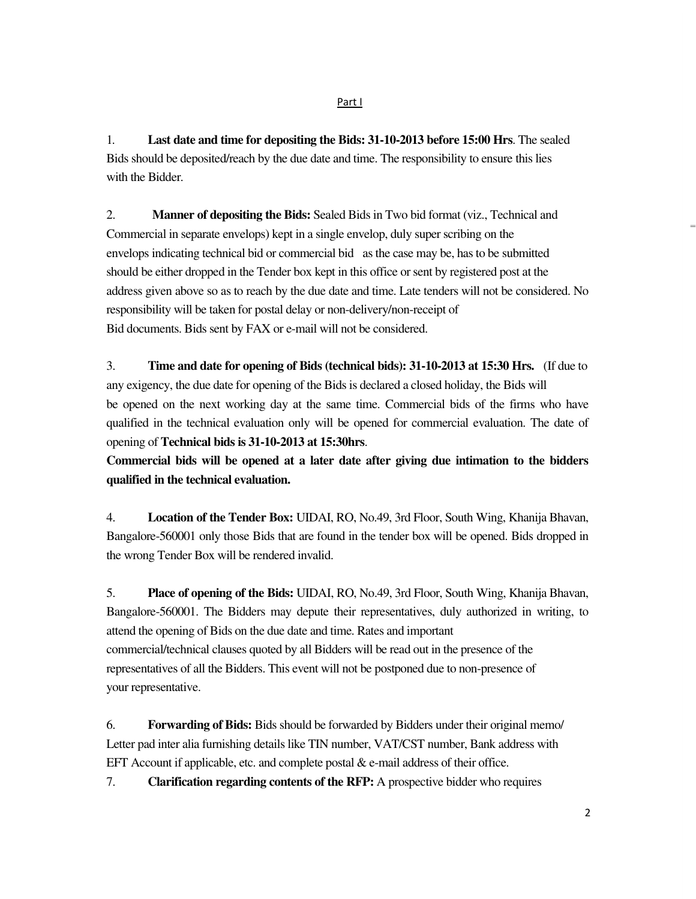#### **Part I**

1. **Last date and time for depositing the Bids: 31-10-2013 before 15:00 Hrs**. The sealed Bids should be deposited/reach by the due date and time. The responsibility to ensure this lies with the Bidder.

2. **Manner of depositing the Bids:** Sealed Bids in Two bid format (viz., Technical and Commercial in separate envelops) kept in a single envelop, duly super scribing on the envelops indicating technical bid or commercial bid as the case may be, has to be submitted should be either dropped in the Tender box kept in this office or sent by registered post at the address given above so as to reach by the due date and time. Late tenders will not be considered. No responsibility will be taken for postal delay or non-delivery/non-receipt of Bid documents. Bids sent by FAX or e-mail will not be considered.

3. **Time and date for opening of Bids (technical bids): 31-10-2013 at 15:30 Hrs.** (If due to any exigency, the due date for opening of the Bids is declared a closed holiday, the Bids will be opened on the next working day at the same time. Commercial bids of the firms who have qualified in the technical evaluation only will be opened for commercial evaluation. The date of opening of **Technical bids is 31-10-2013 at 15:30hrs**.

**Commercial bids will be opened at a later date after giving due intimation to the bidders qualified in the technical evaluation.** 

4. **Location of the Tender Box:** UIDAI, RO, No.49, 3rd Floor, South Wing, Khanija Bhavan, Bangalore-560001 only those Bids that are found in the tender box will be opened. Bids dropped in the wrong Tender Box will be rendered invalid.

5. **Place of opening of the Bids:** UIDAI, RO, No.49, 3rd Floor, South Wing, Khanija Bhavan, Bangalore-560001. The Bidders may depute their representatives, duly authorized in writing, to attend the opening of Bids on the due date and time. Rates and important commercial/technical clauses quoted by all Bidders will be read out in the presence of the representatives of all the Bidders. This event will not be postponed due to non-presence of your representative.

6. **Forwarding of Bids:** Bids should be forwarded by Bidders under their original memo/ Letter pad inter alia furnishing details like TIN number, VAT/CST number, Bank address with EFT Account if applicable, etc. and complete postal  $\&$  e-mail address of their office.

7. **Clarification regarding contents of the RFP:** A prospective bidder who requires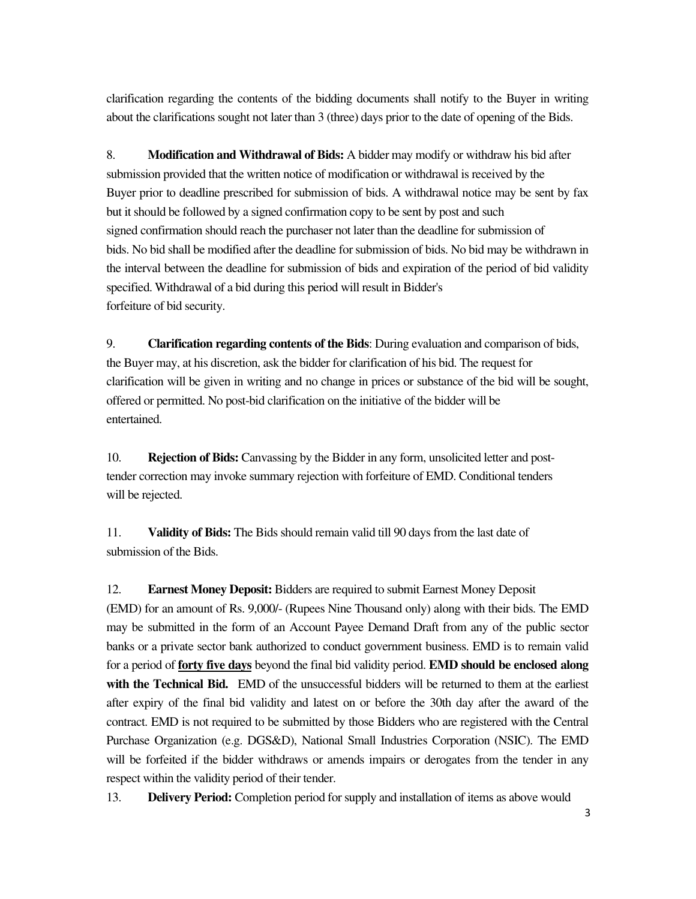clarification regarding the contents of the bidding documents shall notify to the Buyer in writing about the clarifications sought not later than 3 (three) days prior to the date of opening of the Bids.

8. **Modification and Withdrawal of Bids:** A bidder may modify or withdraw his bid after submission provided that the written notice of modification or withdrawal is received by the Buyer prior to deadline prescribed for submission of bids. A withdrawal notice may be sent by fax but it should be followed by a signed confirmation copy to be sent by post and such signed confirmation should reach the purchaser not later than the deadline for submission of bids. No bid shall be modified after the deadline for submission of bids. No bid may be withdrawn in the interval between the deadline for submission of bids and expiration of the period of bid validity specified. Withdrawal of a bid during this period will result in Bidder's forfeiture of bid security.

9. **Clarification regarding contents of the Bids**: During evaluation and comparison of bids, the Buyer may, at his discretion, ask the bidder for clarification of his bid. The request for clarification will be given in writing and no change in prices or substance of the bid will be sought, offered or permitted. No post-bid clarification on the initiative of the bidder will be entertained.

10. **Rejection of Bids:** Canvassing by the Bidder in any form, unsolicited letter and posttender correction may invoke summary rejection with forfeiture of EMD. Conditional tenders will be rejected.

11. **Validity of Bids:** The Bids should remain valid till 90 days from the last date of submission of the Bids.

12. **Earnest Money Deposit:** Bidders are required to submit Earnest Money Deposit (EMD) for an amount of Rs. 9,000/- (Rupees Nine Thousand only) along with their bids. The EMD may be submitted in the form of an Account Payee Demand Draft from any of the public sector banks or a private sector bank authorized to conduct government business. EMD is to remain valid for a period of **forty five days** beyond the final bid validity period. **EMD should be enclosed along with the Technical Bid.** EMD of the unsuccessful bidders will be returned to them at the earliest after expiry of the final bid validity and latest on or before the 30th day after the award of the contract. EMD is not required to be submitted by those Bidders who are registered with the Central Purchase Organization (e.g. DGS&D), National Small Industries Corporation (NSIC). The EMD will be forfeited if the bidder withdraws or amends impairs or derogates from the tender in any respect within the validity period of their tender.

13. **Delivery Period:** Completion period for supply and installation of items as above would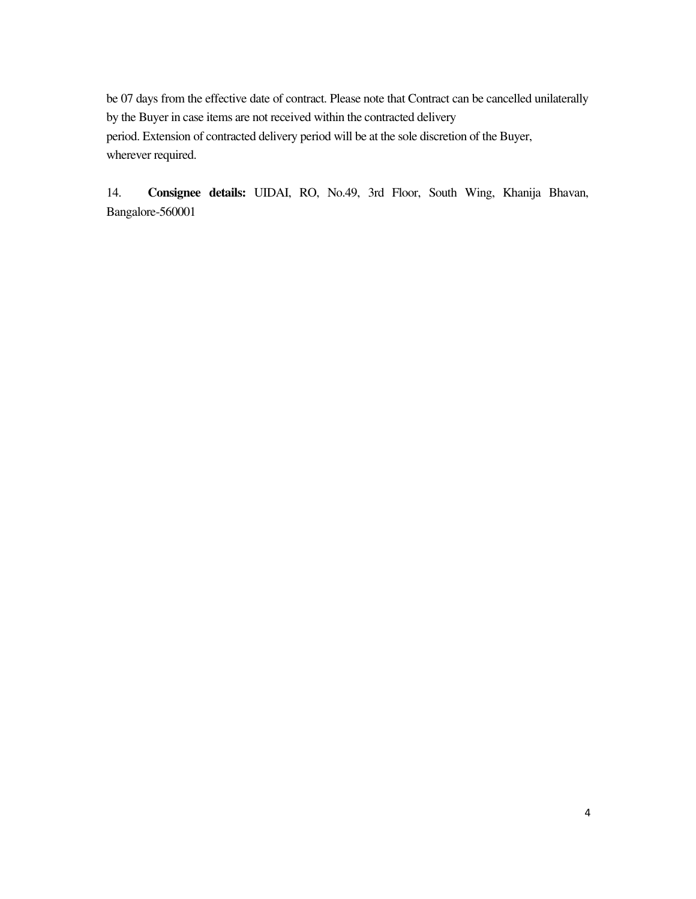be 07 days from the effective date of contract. Please note that Contract can be cancelled unilaterally by the Buyer in case items are not received within the contracted delivery period. Extension of contracted delivery period will be at the sole discretion of the Buyer, wherever required.

14. **Consignee details:** UIDAI, RO, No.49, 3rd Floor, South Wing, Khanija Bhavan, Bangalore-560001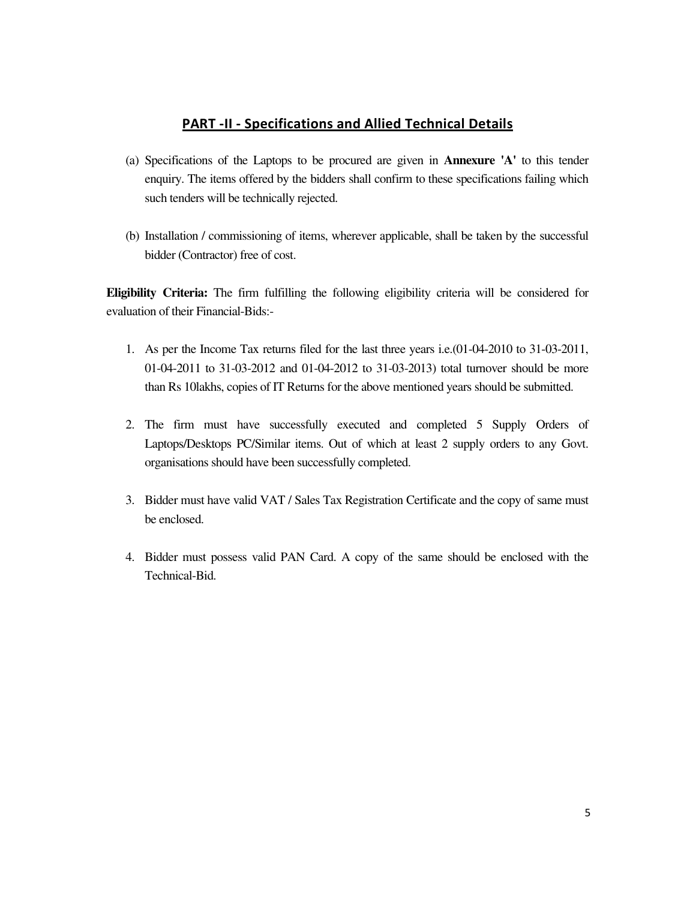#### PART -II - Specifications and Allied Technical Details

- (a) Specifications of the Laptops to be procured are given in **Annexure 'A'** to this tender enquiry. The items offered by the bidders shall confirm to these specifications failing which such tenders will be technically rejected.
- (b) Installation / commissioning of items, wherever applicable, shall be taken by the successful bidder (Contractor) free of cost.

**Eligibility Criteria:** The firm fulfilling the following eligibility criteria will be considered for evaluation of their Financial-Bids:-

- 1. As per the Income Tax returns filed for the last three years i.e.(01-04-2010 to 31-03-2011, 01-04-2011 to 31-03-2012 and 01-04-2012 to 31-03-2013) total turnover should be more than Rs 10lakhs, copies of IT Returns for the above mentioned years should be submitted.
- 2. The firm must have successfully executed and completed 5 Supply Orders of Laptops/Desktops PC/Similar items. Out of which at least 2 supply orders to any Govt. organisations should have been successfully completed.
- 3. Bidder must have valid VAT / Sales Tax Registration Certificate and the copy of same must be enclosed.
- 4. Bidder must possess valid PAN Card. A copy of the same should be enclosed with the Technical-Bid.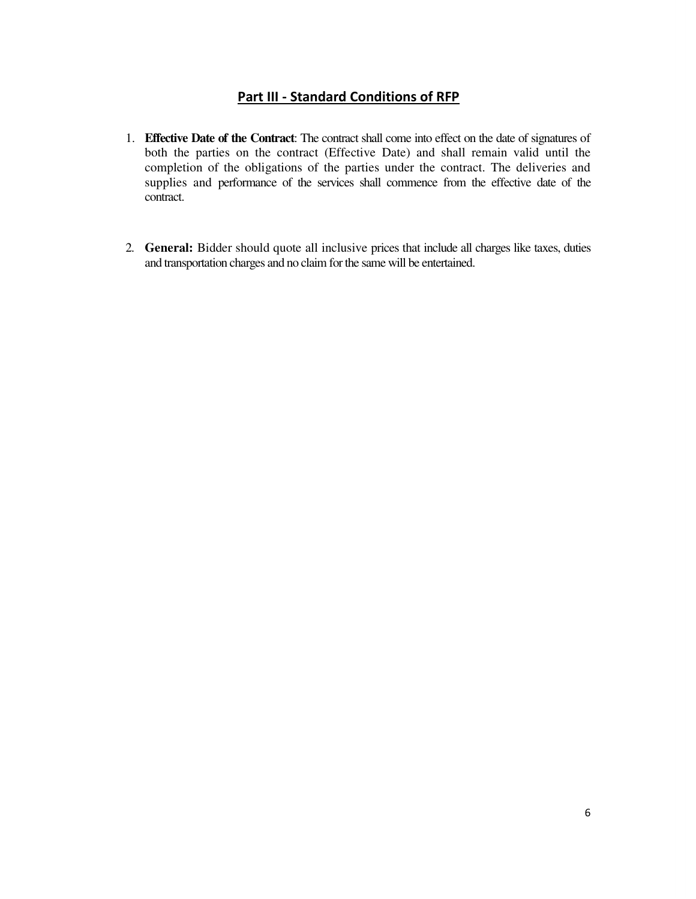# **Part III - Standard Conditions of RFP**

- 1. **Effective Date of the Contract**: The contract shall come into effect on the date of signatures of both the parties on the contract (Effective Date) and shall remain valid until the completion of the obligations of the parties under the contract. The deliveries and supplies and performance of the services shall commence from the effective date of the contract.
- 2. **General:** Bidder should quote all inclusive prices that include all charges like taxes, duties and transportation charges and no claim for the same will be entertained.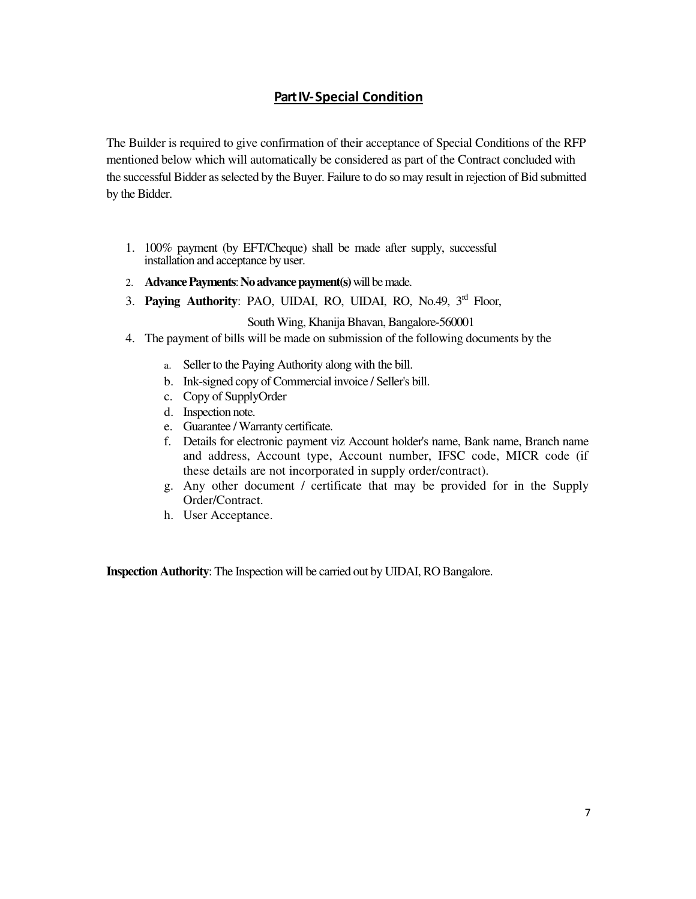# **Part IV-Special Condition**

The Builder is required to give confirmation of their acceptance of Special Conditions of the RFP mentioned below which will automatically be considered as part of the Contract concluded with the successful Bidder as selected by the Buyer. Failure to do so may result in rejection of Bid submitted by the Bidder.

- 1. 100% payment (by EFT/Cheque) shall be made after supply, successful installation and acceptance by user.
- 2. **Advance Payments**: **No advance payment(s)** will be made.
- 3. **Paying Authority**: PAO, UIDAI, RO, UIDAI, RO, No.49, 3rd Floor,

South Wing, Khanija Bhavan, Bangalore-560001

- 4. The payment of bills will be made on submission of the following documents by the
	- a. Seller to the Paying Authority along with the bill.
	- b. Ink-signed copy of Commercial invoice / Seller's bill.
	- c. Copy of SupplyOrder
	- d. Inspection note.
	- e. Guarantee / Warranty certificate.
	- f. Details for electronic payment viz Account holder's name, Bank name, Branch name and address, Account type, Account number, IFSC code, MICR code (if these details are not incorporated in supply order/contract).
	- g. Any other document / certificate that may be provided for in the Supply Order/Contract.
	- h. User Acceptance.

**Inspection Authority**: The Inspection will be carried out by UIDAI, RO Bangalore.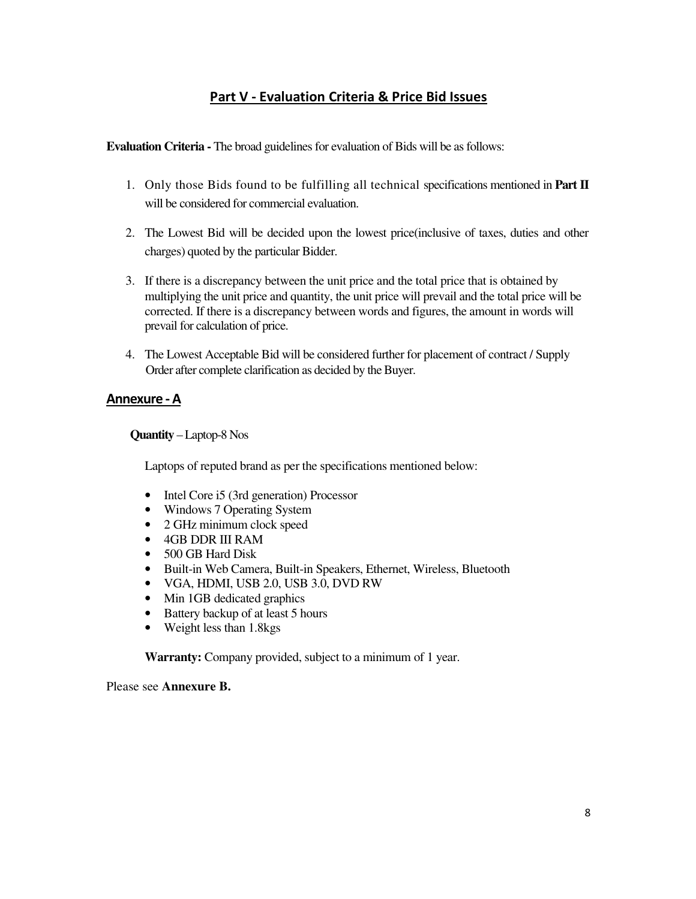# Part V - Evaluation Criteria & Price Bid Issues

**Evaluation Criteria -** The broad guidelines for evaluation of Bids will be as follows:

- 1. Only those Bids found to be fulfilling all technical specifications mentioned in **Part II** will be considered for commercial evaluation.
- 2. The Lowest Bid will be decided upon the lowest price(inclusive of taxes, duties and other charges) quoted by the particular Bidder.
- 3. If there is a discrepancy between the unit price and the total price that is obtained by multiplying the unit price and quantity, the unit price will prevail and the total price will be corrected. If there is a discrepancy between words and figures, the amount in words will prevail for calculation of price.
- 4. The Lowest Acceptable Bid will be considered further for placement of contract / Supply Order after complete clarification as decided by the Buyer.

#### Annexure - A

**Quantity** – Laptop-8 Nos

Laptops of reputed brand as per the specifications mentioned below:

- Intel Core i5 (3rd generation) Processor
- Windows 7 Operating System
- 2 GHz minimum clock speed
- 4GB DDR III RAM
- 500 GB Hard Disk
- Built-in Web Camera, Built-in Speakers, Ethernet, Wireless, Bluetooth
- VGA, HDMI, USB 2.0, USB 3.0, DVD RW
- Min 1GB dedicated graphics
- Battery backup of at least 5 hours
- Weight less than 1.8 kgs

**Warranty:** Company provided, subject to a minimum of 1 year.

Please see **Annexure B.**